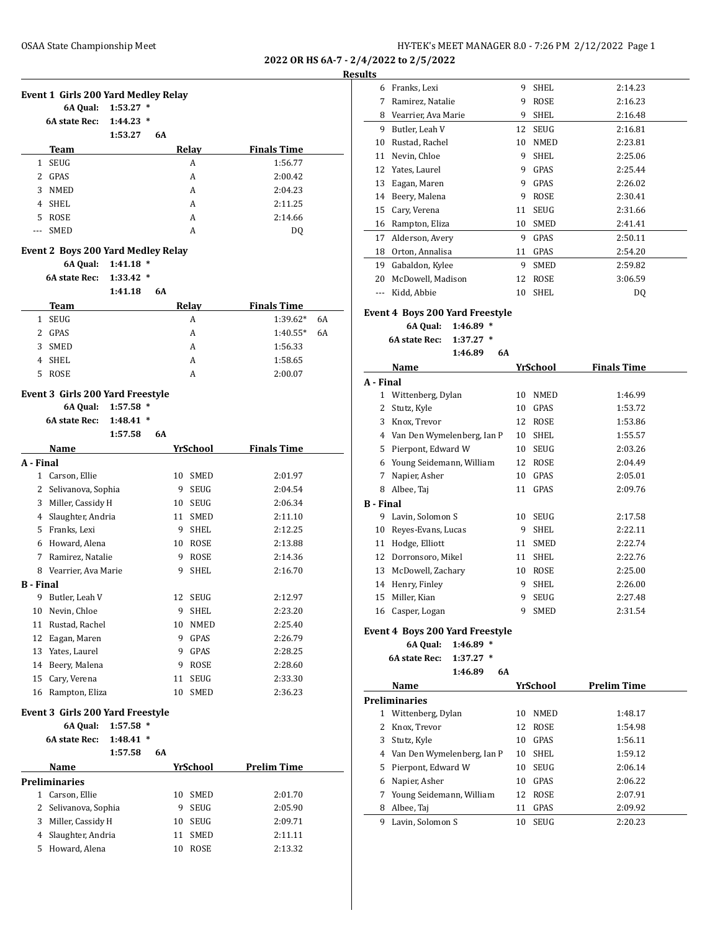### **Results**

 $1:39.62*$  6A  $1:40.55*$  6A  $1:56.33$ 1:58.65  $2:00.07$ 

|                | 6A Qual:                  | Event 1 Girls 200 Yard Medley Relay<br>$1:53.27$ *                             |       |                                              |
|----------------|---------------------------|--------------------------------------------------------------------------------|-------|----------------------------------------------|
|                | <b>6A state Rec:</b>      | $1:44.23$ *                                                                    |       |                                              |
|                |                           | 1:53.27<br>6A                                                                  |       |                                              |
|                | <b>Team</b>               |                                                                                | Relay | <b>Finals Time</b>                           |
| $\mathbf{1}$   | <b>SEUG</b>               |                                                                                | A     | 1:56.77                                      |
| $\overline{2}$ | GPAS                      |                                                                                | A     | 2:00.42                                      |
| 3              | <b>NMED</b>               |                                                                                | A     | 2:04.23                                      |
|                | 4 SHEL                    |                                                                                | A     | 2:11.25                                      |
| 5              | <b>ROSE</b>               |                                                                                | A     | 2:14.66                                      |
| ---            | <b>SMED</b>               |                                                                                | A     | <b>DQ</b>                                    |
|                |                           |                                                                                |       |                                              |
|                | 6A state Rec:             | <b>Event 2 Boys 200 Yard Medley Relay</b><br>6A Qual: 1:41.18 *<br>$1:33.42$ * |       |                                              |
|                |                           | 1:41.18<br>6A                                                                  |       |                                              |
|                | <b>Team</b>               |                                                                                | Relay |                                              |
| $\mathbf{1}$   | <b>SEUG</b>               |                                                                                | A     |                                              |
| $\mathcal{L}$  | GPAS                      |                                                                                | A     | <b>Finals Time</b><br>1:39.62*<br>$1:40.55*$ |
| 3              | <b>SMED</b>               |                                                                                | A     | 1:56.33                                      |
| 4              | <b>SHEL</b>               |                                                                                | A     | 1:58.65                                      |
| 5              | <b>ROSE</b>               |                                                                                | A     | 2:00.07                                      |
|                |                           |                                                                                |       |                                              |
|                |                           | <b>Event 3 Girls 200 Yard Freestyle</b>                                        |       |                                              |
|                | 6A Qual:<br>6A state Rec: | $1:57.58$ *<br>$1:48.41$ *                                                     |       |                                              |

|                  | Name                                    |             |           |    | YrSchool    | <b>Finals Time</b> |
|------------------|-----------------------------------------|-------------|-----------|----|-------------|--------------------|
| A - Final        |                                         |             |           |    |             |                    |
| $\mathbf{1}$     | Carson, Ellie                           |             |           | 10 | <b>SMED</b> | 2:01.97            |
| 2                | Selivanova, Sophia                      |             |           | 9  | <b>SEUG</b> | 2:04.54            |
| 3                | Miller, Cassidy H                       |             |           | 10 | <b>SEUG</b> | 2:06.34            |
| 4                | Slaughter, Andria                       |             |           | 11 | <b>SMED</b> | 2:11.10            |
| 5                | Franks, Lexi                            |             |           | 9  | <b>SHEL</b> | 2:12.25            |
| 6                | Howard, Alena                           |             |           | 10 | <b>ROSE</b> | 2:13.88            |
| 7                | Ramirez, Natalie                        |             |           | 9  | <b>ROSE</b> | 2:14.36            |
| 8                | Vearrier, Ava Marie                     |             |           | 9  | <b>SHEL</b> | 2:16.70            |
| <b>B</b> - Final |                                         |             |           |    |             |                    |
| 9                | Butler, Leah V                          |             |           | 12 | <b>SEUG</b> | 2:12.97            |
| 10               | Nevin, Chloe                            |             |           | 9  | <b>SHEL</b> | 2:23.20            |
| 11               | Rustad, Rachel                          |             |           | 10 | <b>NMED</b> | 2:25.40            |
| 12               | Eagan, Maren                            |             |           | 9  | GPAS        | 2:26.79            |
| 13               | Yates, Laurel                           |             |           | 9  | <b>GPAS</b> | 2:28.25            |
| 14               | Beery, Malena                           |             |           | 9  | <b>ROSE</b> | 2:28.60            |
| 15               | Cary, Verena                            |             |           | 11 | <b>SEUG</b> | 2:33.30            |
| 16               | Rampton, Eliza                          |             |           | 10 | <b>SMED</b> | 2:36.23            |
|                  | <b>Event 3 Girls 200 Yard Freestyle</b> |             |           |    |             |                    |
|                  | 6A Qual:                                | $1:57.58$ * |           |    |             |                    |
|                  | 6A state Rec:                           | $1:48.41$ * |           |    |             |                    |
|                  |                                         | 1:57.58     | <b>6A</b> |    |             |                    |
|                  | <b>Name</b>                             |             |           |    | YrSchool    | <b>Prelim Time</b> |
|                  | <b>Preliminaries</b>                    |             |           |    |             |                    |
| 1                | Carson, Ellie                           |             |           | 10 | <b>SMED</b> | 2:01.70            |
| 2                | Selivanova, Sophia                      |             |           | 9  | <b>SEUG</b> | 2:05.90            |
| 3                | Miller, Cassidy H                       |             |           | 10 | <b>SEUG</b> | 2:09.71            |
| 4                | Slaughter, Andria                       |             |           | 11 | <b>SMED</b> | 2:11.11            |

5 Howard, Alena 10 ROSE 2:13.32

| 6  | Franks, Lexi        | 9  | <b>SHEL</b> | 2:14.23 |
|----|---------------------|----|-------------|---------|
| 7  | Ramirez, Natalie    | 9  | <b>ROSE</b> | 2:16.23 |
| 8  | Vearrier, Ava Marie | 9  | <b>SHEL</b> | 2:16.48 |
| 9  | Butler, Leah V      | 12 | SEUG        | 2:16.81 |
| 10 | Rustad, Rachel      | 10 | <b>NMED</b> | 2:23.81 |
| 11 | Nevin, Chloe        | 9  | <b>SHEL</b> | 2:25.06 |
| 12 | Yates, Laurel       | 9  | GPAS        | 2:25.44 |
| 13 | Eagan, Maren        | 9  | GPAS        | 2:26.02 |
| 14 | Beery, Malena       | 9  | <b>ROSE</b> | 2:30.41 |
| 15 | Cary, Verena        | 11 | <b>SEUG</b> | 2:31.66 |
| 16 | Rampton, Eliza      | 10 | <b>SMED</b> | 2:41.41 |
| 17 | Alderson, Avery     | 9  | GPAS        | 2:50.11 |
| 18 | Orton, Annalisa     | 11 | GPAS        | 2:54.20 |
| 19 | Gabaldon, Kylee     | 9  | <b>SMED</b> | 2:59.82 |
| 20 | McDowell, Madison   | 12 | <b>ROSE</b> | 3:06.59 |
|    | Kidd, Abbie         | 10 | <b>SHEL</b> | DO.     |
|    |                     |    |             |         |

#### **Event 4 Boys 200 Yard Freestyle**

**6A Qual: 1:46.89 \* 6A state Rec: 1:37.27 \***

# **1:46.89 6A**

|                  | Name                       |    | YrSchool    | <b>Finals Time</b> |
|------------------|----------------------------|----|-------------|--------------------|
| A - Final        |                            |    |             |                    |
| 1                | Wittenberg, Dylan          | 10 | <b>NMED</b> | 1:46.99            |
| 2                | Stutz, Kyle                | 10 | GPAS        | 1:53.72            |
| 3                | Knox, Trevor               | 12 | ROSE        | 1:53.86            |
| 4                | Van Den Wymelenberg, Ian P | 10 | <b>SHEL</b> | 1:55.57            |
| 5                | Pierpont, Edward W         | 10 | <b>SEUG</b> | 2:03.26            |
| 6                | Young Seidemann, William   | 12 | <b>ROSE</b> | 2:04.49            |
| 7                | Napier, Asher              | 10 | GPAS        | 2:05.01            |
| 8                | Albee, Taj                 | 11 | GPAS        | 2:09.76            |
| <b>B</b> - Final |                            |    |             |                    |
| 9                | Lavin, Solomon S           | 10 | <b>SEUG</b> | 2:17.58            |
| 10               | Reyes-Evans, Lucas         | 9  | <b>SHEL</b> | 2:22.11            |
| 11               | Hodge, Elliott             | 11 | <b>SMED</b> | 2:22.74            |
| 12               | Dorronsoro, Mikel          | 11 | <b>SHEL</b> | 2:22.76            |
| 13               | McDowell, Zachary          | 10 | <b>ROSE</b> | 2:25.00            |
| 14               | Henry, Finley              | 9  | <b>SHEL</b> | 2:26.00            |
| 15               | Miller, Kian               | 9  | <b>SEUG</b> | 2:27.48            |
| 16               | Casper, Logan              | 9  | SMED        | 2:31.54            |
|                  |                            |    |             |                    |

### **Event 4 Boys 200 Yard Freestyle**

**6A Qual: 1:46.89 \***

**6A state Rec: 1:37.27 \***

|    | 6A<br>1:46.89              |    |             |                    |
|----|----------------------------|----|-------------|--------------------|
|    | Name                       |    | YrSchool    | <b>Prelim Time</b> |
|    | <b>Preliminaries</b>       |    |             |                    |
| 1  | Wittenberg, Dylan          | 10 | <b>NMED</b> | 1:48.17            |
|    | Knox, Trevor               | 12 | ROSE        | 1:54.98            |
| 3  | Stutz, Kyle                | 10 | GPAS        | 1:56.11            |
| 4  | Van Den Wymelenberg, Ian P | 10 | SHEL        | 1:59.12            |
| 5. | Pierpont, Edward W         | 10 | SEUG        | 2:06.14            |
| 6  | Napier, Asher              | 10 | GPAS        | 2:06.22            |
| 7  | Young Seidemann, William   | 12 | ROSE        | 2:07.91            |
| 8  | Albee, Taj                 | 11 | GPAS        | 2:09.92            |
| 9  | Lavin, Solomon S           | 10 | <b>SEUG</b> | 2:20.23            |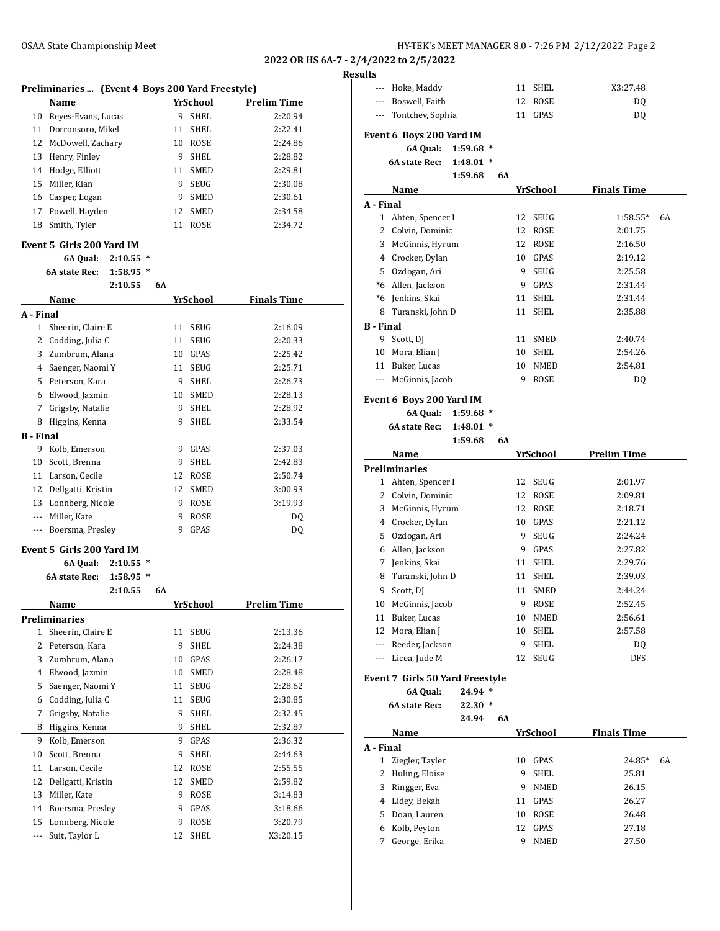| HY-TEK's MEET MANAGER 8.0 - 7:26 PM 2/12/2022 Page 2 |  |  |  |  |  |  |  |
|------------------------------------------------------|--|--|--|--|--|--|--|
|------------------------------------------------------|--|--|--|--|--|--|--|

### **Results**

|                  | Preliminaries  (Event 4 Boys 200 Yard Freestyle) |             |    |         |                 |                    |
|------------------|--------------------------------------------------|-------------|----|---------|-----------------|--------------------|
|                  | Name                                             |             |    |         | <b>YrSchool</b> | <b>Prelim Time</b> |
|                  | 10 Reyes-Evans, Lucas                            |             |    | 9       | <b>SHEL</b>     | 2:20.94            |
|                  | 11 Dorronsoro, Mikel                             |             |    | 11      | SHEL            | 2:22.41            |
|                  | 12 McDowell, Zachary                             |             |    | 10      | ROSE            | 2:24.86            |
|                  | 13 Henry, Finley                                 |             |    | 9       | SHEL            | 2:28.82            |
|                  | 14 Hodge, Elliott                                |             |    | 11      | <b>SMED</b>     | 2:29.81            |
|                  | 15 Miller, Kian                                  |             |    | 9       | <b>SEUG</b>     | 2:30.08            |
|                  | 16 Casper, Logan                                 |             |    | 9       | SMED            | 2:30.61            |
|                  | 17 Powell, Hayden                                |             |    | 12      | <b>SMED</b>     | 2:34.58            |
| 18               | Smith, Tyler                                     |             |    | 11      | ROSE            | 2:34.72            |
|                  | Event 5 Girls 200 Yard IM                        |             |    |         |                 |                    |
|                  | 6A Qual:                                         | $2:10.55$ * |    |         |                 |                    |
|                  | 6A state Rec:                                    | $1:58.95$ * |    |         |                 |                    |
|                  |                                                  | 2:10.55     | 6A |         |                 |                    |
|                  | Name                                             |             |    |         | YrSchool        | <b>Finals Time</b> |
| A - Final        |                                                  |             |    |         |                 |                    |
|                  | 1 Sheerin, Claire E                              |             |    | 11      | SEUG            | 2:16.09            |
|                  | 2 Codding, Julia C                               |             |    | 11      | SEUG            | 2:20.33            |
|                  | 3 Zumbrum, Alana                                 |             |    | 10      | GPAS            | 2:25.42            |
|                  | 4 Saenger, Naomi Y                               |             |    | 11      | SEUG            | 2:25.71            |
|                  | 5 Peterson, Kara                                 |             |    | 9       | <b>SHEL</b>     | 2:26.73            |
|                  | 6 Elwood, Jazmin                                 |             |    | 10      | <b>SMED</b>     | 2:28.13            |
|                  | 7 Grigsby, Natalie                               |             |    | 9.      | SHEL            | 2:28.92            |
|                  | 8 Higgins, Kenna                                 |             |    | 9       | SHEL            | 2:33.54            |
| <b>B</b> - Final |                                                  |             |    |         |                 |                    |
|                  | 9 Kolb, Emerson                                  |             |    | 9       | GPAS            | 2:37.03            |
|                  | 10 Scott, Brenna                                 |             |    | 9.      | SHEL            | 2:42.83            |
|                  | 11 Larson, Cecile                                |             |    | 12      | ROSE            | 2:50.74            |
|                  | 12 Dellgatti, Kristin                            |             |    | 12      | SMED            | 3:00.93            |
|                  | 13 Lonnberg, Nicole                              |             |    | 9       | ROSE            | 3:19.93            |
|                  | --- Miller, Kate                                 |             |    | 9       | ROSE            | DQ                 |
| ---              | Boersma, Presley                                 |             |    | 9       | GPAS            | DQ                 |
|                  |                                                  |             |    |         |                 |                    |
|                  | Event 5 Girls 200 Yard IM                        |             |    |         |                 |                    |
|                  | 6A Qual:                                         | $2:10.55$ * |    |         |                 |                    |
|                  | 6A state Rec:                                    | $1:58.95*$  |    |         |                 |                    |
|                  |                                                  | 2:10.55     | 6A |         |                 |                    |
|                  | <b>Name</b>                                      |             |    |         | <u>YrSchool</u> | <b>Prelim Time</b> |
| $\mathbf{1}$     | <b>Preliminaries</b>                             |             |    |         |                 |                    |
|                  | Sheerin, Claire E                                |             |    | 11      | SEUG            | 2:13.36            |
| 2                | Peterson, Kara                                   |             |    | 9       | SHEL            | 2:24.38            |
| 3                | Zumbrum, Alana<br>Elwood, Jazmin                 |             |    | 10      | GPAS            | 2:26.17            |
| 4                |                                                  |             |    | 10      | SMED            | 2:28.48            |
| 5                | Saenger, Naomi Y<br>Codding, Julia C             |             |    | 11      | SEUG            | 2:28.62            |
| 6                | Grigsby, Natalie                                 |             |    | 11<br>9 | <b>SEUG</b>     | 2:30.85            |
| 7                |                                                  |             |    |         | SHEL            | 2:32.45            |
| 8<br>9           | Higgins, Kenna                                   |             |    | 9<br>9  | SHEL<br>GPAS    | 2:32.87            |
|                  | Kolb, Emerson<br>Scott, Brenna                   |             |    |         |                 | 2:36.32            |
| 10               |                                                  |             |    | 9<br>12 | SHEL            | 2:44.63            |
| 11               | Larson, Cecile                                   |             |    | 12      | ROSE            | 2:55.55            |
| 12               | Dellgatti, Kristin                               |             |    | 9       | SMED            | 2:59.82            |
| 13<br>14         | Miller, Kate<br>Boersma, Presley                 |             |    | 9       | ROSE<br>GPAS    | 3:14.83            |
| 15               | Lonnberg, Nicole                                 |             |    | 9       | ROSE            | 3:18.66<br>3:20.79 |
| ---              | Suit, Taylor L                                   |             |    | 12      | SHEL            | X3:20.15           |
|                  |                                                  |             |    |         |                 |                    |

| πь             |                                     |    |                 |                    |    |
|----------------|-------------------------------------|----|-----------------|--------------------|----|
| ---            | Hoke, Maddy                         | 11 | SHEL            | X3:27.48           |    |
| ---            | Boswell, Faith                      | 12 | ROSE            | DQ                 |    |
| ---            | Tontchev, Sophia                    | 11 | GPAS            | DQ                 |    |
|                |                                     |    |                 |                    |    |
|                | Event 6 Boys 200 Yard IM            |    |                 |                    |    |
|                | 6A Qual:<br>1:59.68 *               |    |                 |                    |    |
|                | 6A state Rec:<br>$1:48.01$ *        |    |                 |                    |    |
|                | 1:59.68<br>6A                       |    |                 |                    |    |
|                | Name                                |    | YrSchool        | <b>Finals Time</b> |    |
| A - Final      |                                     |    |                 |                    |    |
| 1              | Ahten, Spencer I                    | 12 | <b>SEUG</b>     | 1:58.55*           | 6A |
| 2              | Colvin, Dominic                     | 12 | ROSE            | 2:01.75            |    |
| 3              | McGinnis, Hyrum                     | 12 | ROSE            | 2:16.50            |    |
|                | 4 Crocker, Dylan                    |    | 10 GPAS         | 2:19.12            |    |
| 5              | Ozdogan, Ari                        |    | 9 SEUG          | 2:25.58            |    |
| *6             | Allen, Jackson                      |    | 9 GPAS          | 2:31.44            |    |
|                | *6 Jenkins, Skai                    | 11 | SHEL            | 2:31.44            |    |
|                | 8 Turanski, John D                  | 11 | <b>SHEL</b>     | 2:35.88            |    |
| B - Final      |                                     |    |                 |                    |    |
| 9              | Scott, DJ                           | 11 | <b>SMED</b>     | 2:40.74            |    |
|                |                                     |    |                 |                    |    |
| 10             | Mora, Elian J                       | 10 | SHEL            | 2:54.26            |    |
| 11             | Buker, Lucas                        | 10 | <b>NMED</b>     | 2:54.81            |    |
| ---            | McGinnis, Jacob                     | 9  | ROSE            | DQ                 |    |
|                | Event 6 Boys 200 Yard IM            |    |                 |                    |    |
|                | 6A Qual:<br>$1:59.68$ *             |    |                 |                    |    |
|                | 6A state Rec:<br>$1:48.01$ *        |    |                 |                    |    |
|                | 1:59.68<br>6A                       |    |                 |                    |    |
|                | Name                                |    | YrSchool        | <b>Prelim Time</b> |    |
|                | Preliminaries                       |    |                 |                    |    |
|                |                                     |    |                 |                    |    |
| 1              |                                     | 12 | SEUG            | 2:01.97            |    |
| 2              | Ahten, Spencer I<br>Colvin, Dominic | 12 | ROSE            | 2:09.81            |    |
| 3              |                                     | 12 |                 |                    |    |
| 4              | McGinnis, Hyrum                     |    | <b>ROSE</b>     | 2:18.71<br>2:21.12 |    |
|                | Crocker, Dylan                      | 9. | 10 GPAS         |                    |    |
| 5              | Ozdogan, Ari                        |    | <b>SEUG</b>     | 2:24.24            |    |
| 6              | Allen, Jackson                      |    | 9 GPAS          | 2:27.82            |    |
| 7              | Jenkins, Skai                       | 11 | SHEL            | 2:29.76            |    |
| 8              | Turanski, John D                    | 11 | SHEL            | 2:39.03            |    |
| 9              | Scott, DJ                           | 11 | SMED            | 2:44.24            |    |
| 10             | McGinnis, Jacob                     | 9  | <b>ROSE</b>     | 2:52.45            |    |
| 11             | Buker, Lucas                        | 10 | NMED            | 2:56.61            |    |
| 12             | Mora, Elian J                       | 10 | SHEL            | 2:57.58            |    |
|                | --- Reeder, Jackson                 | 9  | SHEL            | DQ                 |    |
|                | --- Licea, Jude M                   | 12 | SEUG            | DFS                |    |
|                | Event 7  Girls 50 Yard Freestyle    |    |                 |                    |    |
|                | $24.94*$<br>6A Qual:                |    |                 |                    |    |
|                | <b>6A state Rec:</b><br>$22.30*$    |    |                 |                    |    |
|                | 24.94<br>6A                         |    |                 |                    |    |
|                | Name                                |    | <b>YrSchool</b> | <b>Finals Time</b> |    |
|                |                                     |    |                 |                    |    |
| 1              | Ziegler, Tayler                     | 10 | GPAS            | 24.85*             | 6A |
| 2              | Huling, Eloise                      | 9  | SHEL            | 25.81              |    |
| 3              | Ringger, Eva                        | 9  | NMED            | 26.15              |    |
| A - Final<br>4 | Lidey, Bekah                        | 11 | GPAS            | 26.27              |    |
| 5              | Doan, Lauren                        | 10 | ROSE            | 26.48              |    |
| 6              |                                     | 12 |                 | 27.18              |    |
| 7              | Kolb, Peyton                        | 9  | GPAS            |                    |    |
|                | George, Erika                       |    | NMED            | 27.50              |    |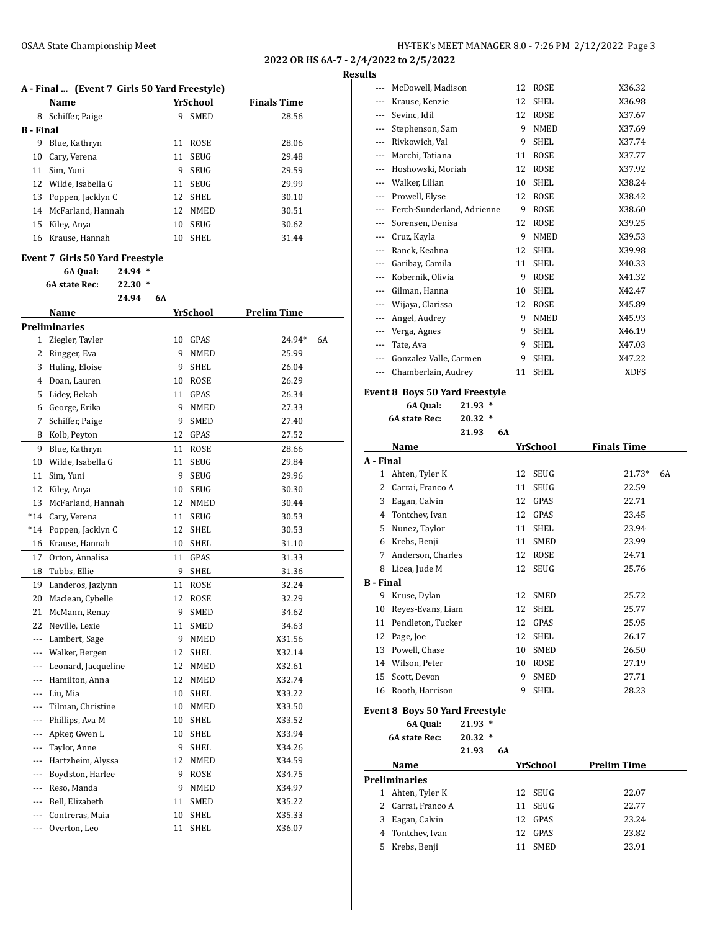**2022 OR HS 6A-7 - 2/4/2022 to 2/5/2022 Results**

|                  | Name                            |    | YrSchool      | <b>Finals Time</b> |
|------------------|---------------------------------|----|---------------|--------------------|
| 8                | Schiffer, Paige                 | 9  | <b>SMED</b>   | 28.56              |
| <b>B</b> - Final |                                 |    |               |                    |
| 9                | Blue, Kathryn                   | 11 | ROSE          | 28.06              |
| 10               | Cary, Verena                    | 11 | <b>SEUG</b>   | 29.48              |
| 11               | Sim, Yuni                       | 9  | SEUG          | 29.59              |
| 12               | Wilde, Isabella G               | 11 | SEUG          | 29.99              |
| 13               | Poppen, Jacklyn C               | 12 | SHEL          | 30.10              |
| 14               | McFarland, Hannah               | 12 | NMED          | 30.51              |
| 15               | Kiley, Anya                     | 10 | SEUG          | 30.62              |
| 16               | Krause, Hannah                  | 10 | SHEL          | 31.44              |
|                  |                                 |    |               |                    |
|                  | Event 7 Girls 50 Yard Freestyle |    |               |                    |
|                  | 6A Qual:<br>$24.94*$            |    |               |                    |
|                  | 6A state Rec:<br>$22.30*$       |    |               |                    |
|                  | 24.94                           | 6A |               |                    |
|                  | Name                            |    | YrSchool      | <b>Prelim Time</b> |
|                  | Preliminaries                   |    |               |                    |
| 1                | Ziegler, Tayler                 | 10 | GPAS          | 6A<br>24.94*       |
| 2                | Ringger, Eva                    | 9  | NMED          | 25.99              |
| 3                | Huling, Eloise                  | 9  | SHEL          | 26.04              |
| 4                | Doan, Lauren                    | 10 | <b>ROSE</b>   | 26.29              |
| 5                | Lidey, Bekah                    | 11 | GPAS          | 26.34              |
| 6                | George, Erika                   | 9  | <b>NMED</b>   | 27.33              |
| 7                | Schiffer, Paige                 | 9  | <b>SMED</b>   | 27.40              |
| 8                | Kolb, Peyton                    |    | 12 GPAS       | 27.52              |
| 9                | Blue, Kathryn                   | 11 | ROSE          | 28.66              |
| 10               | Wilde, Isabella G               | 11 | SEUG          | 29.84              |
| 11               | Sim, Yuni                       | 9  | <b>SEUG</b>   | 29.96              |
| 12               | Kiley, Anya                     | 10 | SEUG          | 30.30              |
| 13               | McFarland, Hannah               | 12 | NMED          | 30.44              |
| $*14$            | Cary, Verena                    | 11 | <b>SEUG</b>   | 30.53              |
| $*14$            | Poppen, Jacklyn C               | 12 | SHEL          | 30.53              |
| 16               | Krause, Hannah                  | 10 | SHEL          | 31.10              |
| 17               | Orton, Annalisa                 | 11 | GPAS          | 31.33              |
| 18               | Tubbs, Ellie                    | 9  | SHEL          | 31.36              |
|                  | 19 Landeros, Jazlynn            | 11 | <b>ROSE</b>   | 32.24              |
| 20               | Maclean, Cybelle                | 12 | $\mbox{ROSE}$ | 32.29              |
| 21               | McMann, Renay                   | 9  | SMED          | 34.62              |
| 22               | Neville, Lexie                  | 11 | SMED          | 34.63              |
| ---              | Lambert, Sage                   | 9  | NMED          | X31.56             |
| ---              | Walker, Bergen                  | 12 | SHEL          | X32.14             |
| ---              | Leonard, Jacqueline             | 12 | NMED          | X32.61             |
| ---              | Hamilton, Anna                  | 12 | NMED          | X32.74             |
| ---              | Liu, Mia                        | 10 | SHEL          | X33.22             |
| ---              | Tilman, Christine               | 10 |               | X33.50             |
| ---              | Phillips, Ava M                 | 10 | NMED          |                    |
|                  |                                 |    | SHEL          | X33.52             |
| ---              | Apker, Gwen L                   | 10 | SHEL          | X33.94             |
| ---              | Taylor, Anne                    | 9  | SHEL          | X34.26             |
| ---              | Hartzheim, Alyssa               | 12 | NMED          | X34.59             |
| ---              | Boydston, Harlee                | 9  | ROSE          | X34.75             |
|                  | Reso, Manda                     | 9  | NMED          | X34.97             |
| ---              | Bell, Elizabeth                 | 11 | SMED          | X35.22             |
| ---              | Contreras, Maia                 | 10 | SHEL          | X35.33             |

--- Overton, Leo 11 SHEL X36.07

| э   |                            |    |             |        |
|-----|----------------------------|----|-------------|--------|
|     | McDowell, Madison          | 12 | <b>ROSE</b> | X36.32 |
|     | Krause, Kenzie             | 12 | SHEL        | X36.98 |
| --- | Sevinc, Idil               | 12 | <b>ROSE</b> | X37.67 |
|     | Stephenson, Sam            | 9  | <b>NMED</b> | X37.69 |
| --- | Rivkowich, Val             | 9  | <b>SHEL</b> | X37.74 |
| --- | Marchi, Tatiana            | 11 | <b>ROSE</b> | X37.77 |
|     | Hoshowski, Moriah          | 12 | <b>ROSE</b> | X37.92 |
|     | Walker, Lilian             | 10 | <b>SHEL</b> | X38.24 |
| --- | Prowell, Elyse             | 12 | <b>ROSE</b> | X38.42 |
| --- | Ferch-Sunderland, Adrienne | 9  | <b>ROSE</b> | X38.60 |
| --- | Sorensen, Denisa           | 12 | <b>ROSE</b> | X39.25 |
| --- | Cruz, Kayla                | 9  | <b>NMED</b> | X39.53 |
|     | Ranck, Keahna              | 12 | <b>SHEL</b> | X39.98 |
| --- | Garibay, Camila            | 11 | <b>SHEL</b> | X40.33 |
| --- | Kobernik, Olivia           | 9  | <b>ROSE</b> | X41.32 |
| --- | Gilman, Hanna              | 10 | <b>SHEL</b> | X42.47 |
| --- | Wijaya, Clarissa           | 12 | <b>ROSE</b> | X45.89 |
| --- | Angel, Audrey              | 9  | <b>NMED</b> | X45.93 |
|     | Verga, Agnes               | 9  | <b>SHEL</b> | X46.19 |
| --- | Tate, Ava                  | 9  | SHEL        | X47.03 |
|     | Gonzalez Valle, Carmen     | 9  | <b>SHEL</b> | X47.22 |
|     | Chamberlain, Audrey        | 11 | <b>SHEL</b> | XDFS   |
|     |                            |    |             |        |

### **Event 8 Boys 50 Yard Freestyle**

**6A Qual: 21.93 \***

```
6A state Rec: 20.32 *
 21.93 6A
```

|           | Name              |    | <b>YrSchool</b> | Finals Time |    |
|-----------|-------------------|----|-----------------|-------------|----|
| A - Final |                   |    |                 |             |    |
| 1         | Ahten, Tyler K    | 12 | <b>SEUG</b>     | 21.73*      | 6A |
| 2         | Carrai, Franco A  | 11 | <b>SEUG</b>     | 22.59       |    |
| 3         | Eagan, Calvin     | 12 | GPAS            | 22.71       |    |
| 4         | Tontchev, Ivan    | 12 | GPAS            | 23.45       |    |
| 5         | Nunez, Taylor     | 11 | SHEL            | 23.94       |    |
| 6         | Krebs, Benji      | 11 | SMED            | 23.99       |    |
| 7         | Anderson, Charles | 12 | ROSE            | 24.71       |    |
| 8         | Licea, Jude M     | 12 | <b>SEUG</b>     | 25.76       |    |
| B - Final |                   |    |                 |             |    |
| 9         | Kruse, Dylan      | 12 | <b>SMED</b>     | 25.72       |    |
| 10        | Reyes-Evans, Liam | 12 | SHEL            | 25.77       |    |
| 11        | Pendleton, Tucker | 12 | GPAS            | 25.95       |    |
| 12        | Page, Joe         | 12 | <b>SHEL</b>     | 26.17       |    |
| 13        | Powell, Chase     | 10 | <b>SMED</b>     | 26.50       |    |
| 14        | Wilson, Peter     | 10 | ROSE            | 27.19       |    |
| 15        | Scott, Devon      | 9  | <b>SMED</b>     | 27.71       |    |
| 16        | Rooth, Harrison   | 9  | SHEL            | 28.23       |    |
|           |                   |    |                 |             |    |

## **Event 8 Boys 50 Yard Freestyle**

**6A Qual: 21.93 \***

**6A state Rec: 20.32 \***

|                | 21.93                                                      | 6A |                  |                                             |
|----------------|------------------------------------------------------------|----|------------------|---------------------------------------------|
| Name           |                                                            |    |                  | <b>Prelim Time</b>                          |
|                |                                                            |    |                  |                                             |
| Ahten, Tyler K |                                                            |    |                  | 22.07                                       |
|                |                                                            |    |                  | 22.77                                       |
| Eagan, Calvin  |                                                            |    |                  | 23.24                                       |
|                |                                                            |    |                  | 23.82                                       |
| Krebs, Benji   |                                                            |    | <b>SMED</b>      | 23.91                                       |
|                | <b>Preliminaries</b><br>Carrai, Franco A<br>Tontchev, Ivan |    | 11<br>12.<br>12. | YrSchool<br>12 SEUG<br>SEUG<br>GPAS<br>GPAS |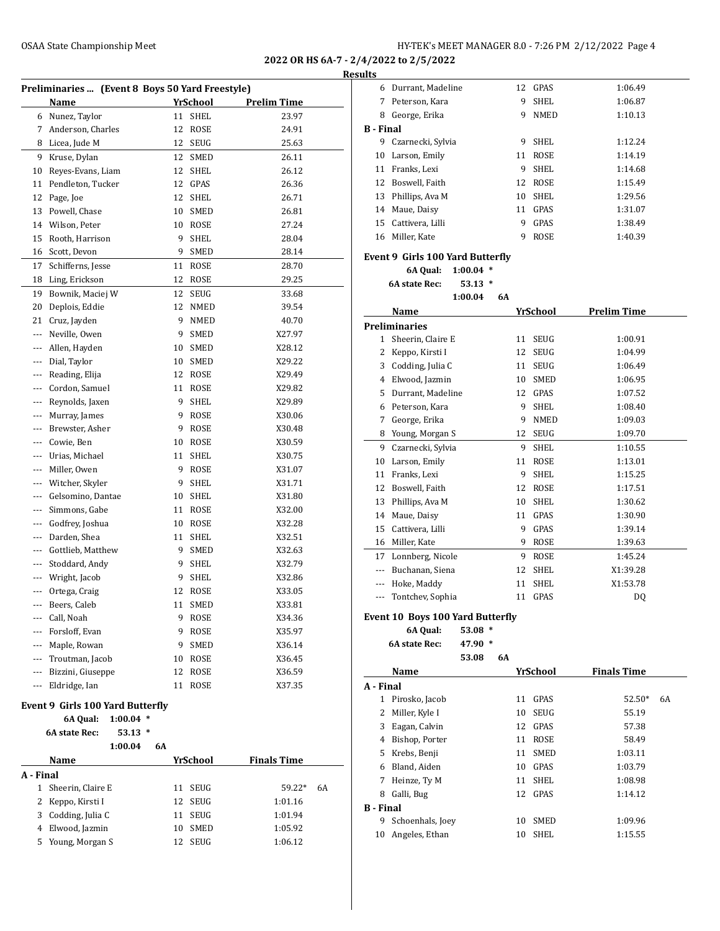**6A state Rec: 53.13 \***

**A - Final**

**1:00.04 6A Name Finally Finally Finally Finally Finally Finally Finally Finally Finally Finally Finally Finally Finally Finally Finally Finally Finally Finally Finally Finally Finally Fina** 

1 Sheerin, Claire E 11 SEUG 2 Keppo, Kirsti I 12 SEUG 3 Codding, Julia C 11 SEUG 4 Elwood, Jazmin 10 SMED 5 Young, Morgan S 12 SEUG

 $52.50* 6A$ 

6 Durrant, Madeline 12 GPAS 1:06.49 7 Peterson, Kara 9 SHEL 1:06.87

**2022 OR HS 6A-7 - 2/4/2022 to 2/5/2022**

| 7     | Name                             |    | YrSchool    | <b>Prelim Time</b> |     |
|-------|----------------------------------|----|-------------|--------------------|-----|
|       |                                  |    |             |                    |     |
|       | 6 Nunez, Taylor                  | 11 | <b>SHEL</b> | 23.97              |     |
|       | Anderson, Charles                | 12 | ROSE        | 24.91              | в.  |
| 8     | Licea, Jude M                    | 12 | <b>SEUG</b> | 25.63              |     |
| 9     | Kruse, Dylan                     | 12 | <b>SMED</b> | 26.11              |     |
| 10    | Reyes-Evans, Liam                | 12 | SHEL        | 26.12              |     |
| 11    | Pendleton, Tucker                | 12 | GPAS        | 26.36              |     |
| 12    | Page, Joe                        | 12 | <b>SHEL</b> | 26.71              |     |
| 13    | Powell, Chase                    | 10 | <b>SMED</b> | 26.81              |     |
| 14    | Wilson, Peter                    | 10 | ROSE        | 27.24              |     |
| 15    | Rooth, Harrison                  | 9  | SHEL        | 28.04              |     |
| 16    | Scott, Devon                     | 9  | <b>SMED</b> | 28.14              | Eve |
| 17    | Schifferns, Jesse                | 11 | ROSE        | 28.70              |     |
| 18    | Ling, Erickson                   | 12 | ROSE        | 29.25              |     |
| 19    | Bownik, Maciej W                 | 12 | SEUG        | 33.68              |     |
| 20    | Deplois, Eddie                   | 12 | <b>NMED</b> | 39.54              |     |
| 21    | Cruz, Jayden                     | 9  | NMED        | 40.70              | Pre |
| ---   | Neville, Owen                    | 9  | <b>SMED</b> | X27.97             |     |
| ---   | Allen, Hayden                    | 10 | <b>SMED</b> | X28.12             |     |
| $---$ | Dial, Taylor                     | 10 | SMED        | X29.22             |     |
| ---   | Reading, Elija                   | 12 | ROSE        | X29.49             |     |
|       | Cordon, Samuel                   | 11 | <b>ROSE</b> | X29.82             |     |
| ---   | Reynolds, Jaxen                  | 9  | SHEL        | X29.89             |     |
| ---   | Murray, James                    | 9  | ROSE        | X30.06             |     |
| ---   | Brewster, Asher                  | 9  | <b>ROSE</b> | X30.48             |     |
| $---$ | Cowie, Ben                       | 10 | <b>ROSE</b> | X30.59             |     |
| ---   | Urias, Michael                   | 11 | SHEL        | X30.75             |     |
|       | Miller, Owen                     | 9  | <b>ROSE</b> | X31.07             |     |
| $---$ | Witcher, Skyler                  | 9  | SHEL        | X31.71             |     |
| ---   | Gelsomino, Dantae                | 10 | SHEL        | X31.80             |     |
| ---   | Simmons, Gabe                    | 11 | <b>ROSE</b> | X32.00             |     |
| $---$ | Godfrey, Joshua                  | 10 | <b>ROSE</b> | X32.28             |     |
| ---   | Darden, Shea                     | 11 | SHEL        | X32.51             |     |
|       | Gottlieb, Matthew                | 9  | <b>SMED</b> | X32.63             |     |
| ---   | Stoddard, Andy                   | 9  | SHEL        | X32.79             |     |
|       | Wright, Jacob                    | 9  | SHEL        | X32.86             |     |
| ---   | Ortega, Craig                    | 12 | <b>ROSE</b> | X33.05             |     |
| $---$ | Beers, Caleb                     | 11 | SMED        | X33.81             |     |
|       | Call, Noah                       | 9  | ROSE        | X34.36             | Eve |
|       | Forsloff, Evan                   | 9  | ROSE        | X35.97             |     |
| ---   | Maple, Rowan                     | 9  | SMED        | X36.14             |     |
| ---   | Troutman, Jacob                  | 10 | ROSE        | X36.45             |     |
| ---   | Bizzini, Giuseppe                | 12 | ROSE        | X36.59             |     |
| ---   | Eldridge, Ian                    | 11 | ROSE        | X37.35             | А - |
|       | Event 9 Girls 100 Yard Butterfly |    |             |                    |     |

| 23.97              |                  | 8 George, Erika                         |               |    | 9 NMED      | 1:10.13            |
|--------------------|------------------|-----------------------------------------|---------------|----|-------------|--------------------|
| 24.91              |                  | <b>B</b> - Final                        |               |    |             |                    |
| 25.63              | 9                | Czarnecki, Sylvia                       |               | 9  | SHEL        | 1:12.24            |
|                    | 10               | Larson, Emily                           |               | 11 | <b>ROSE</b> | 1:14.19            |
| 26.11              |                  | 11 Franks, Lexi                         |               | 9  | SHEL        | 1:14.68            |
| 26.12              |                  | 12 Boswell, Faith                       |               |    | 12 ROSE     | 1:15.49            |
| 26.36              |                  |                                         |               |    |             |                    |
| 26.71              |                  | 13 Phillips, Ava M                      |               |    | 10 SHEL     | 1:29.56            |
| 26.81              |                  | 14 Maue, Daisy                          |               |    | 11 GPAS     | 1:31.07            |
| 27.24              |                  | 15 Cattivera, Lilli                     |               | 9  | GPAS        | 1:38.49            |
| 28.04              |                  | 16 Miller, Kate                         |               | 9  | ROSE        | 1:40.39            |
| 28.14              |                  | Event 9 Girls 100 Yard Butterfly        |               |    |             |                    |
| 28.70              |                  | 6A Qual:                                | $1:00.04$ *   |    |             |                    |
| 29.25              |                  | 6A state Rec:                           | $53.13*$      |    |             |                    |
| 33.68              |                  |                                         | 1:00.04<br>6A |    |             |                    |
| 39.54              |                  | Name                                    |               |    | YrSchool    | <b>Prelim Time</b> |
| 40.70              |                  | <b>Preliminaries</b>                    |               |    |             |                    |
| X27.97             | $\mathbf{1}$     | Sheerin, Claire E                       |               |    | 11 SEUG     | 1:00.91            |
| X28.12             | 2                | Keppo, Kirsti I                         |               |    | 12 SEUG     | 1:04.99            |
| X29.22             |                  | 3 Codding, Julia C                      |               |    | 11 SEUG     | 1:06.49            |
| X29.49             |                  | 4 Elwood, Jazmin                        |               |    | 10 SMED     | 1:06.95            |
| X29.82             |                  | 5 Durrant, Madeline                     |               |    | 12 GPAS     | 1:07.52            |
| X29.89             |                  | 6 Peterson, Kara                        |               | 9  | SHEL        | 1:08.40            |
| X30.06             | 7                | George, Erika                           |               | 9  | <b>NMED</b> | 1:09.03            |
| X30.48             |                  |                                         |               |    | 12 SEUG     | 1:09.70            |
| X30.59             |                  | Young, Morgan S<br>8                    |               |    | SHEL        | 1:10.55            |
| X30.75             |                  | 9 Czarnecki, Sylvia<br>10 Larson, Emily |               |    | 11 ROSE     | 1:13.01            |
| X31.07             |                  | 11 Franks, Lexi                         |               | 9  | SHEL        | 1:15.25            |
| X31.71             |                  |                                         |               |    | 12 ROSE     | 1:17.51            |
| X31.80             |                  | 12 Boswell, Faith                       |               |    |             |                    |
| X32.00             |                  | 13 Phillips, Ava M                      |               |    | 10 SHEL     | 1:30.62            |
| X32.28             | 14               | Maue, Daisy                             |               |    | 11 GPAS     | 1:30.90            |
| X32.51             | 15               | Cattivera, Lilli                        |               | 9  | GPAS        | 1:39.14            |
| X32.63             | 16               | Miller, Kate                            |               | 9  | ROSE        | 1:39.63            |
| X32.79             | 17               | Lonnberg, Nicole                        |               | 9  | ROSE        | 1:45.24            |
| X32.86             | $---$            | Buchanan, Siena                         |               | 12 | SHEL        | X1:39.28           |
| X33.05             |                  | --- Hoke, Maddy                         |               | 11 | SHEL        | X1:53.78           |
| X33.81             | ---              | Tontchev, Sophia                        |               |    | 11 GPAS     | DQ                 |
| X34.36             |                  | Event 10 Boys 100 Yard Butterfly        |               |    |             |                    |
| X35.97             |                  | 6A Qual:                                | $53.08*$      |    |             |                    |
| X36.14             |                  | 6A state Rec:                           | 47.90 *       |    |             |                    |
| X36.45             |                  |                                         | 6A<br>53.08   |    |             |                    |
| X36.59             |                  | Name                                    |               |    | YrSchool    | <b>Finals Time</b> |
| X37.35             | A - Final        |                                         |               |    |             |                    |
|                    | $\mathbf{1}$     | Pirosko, Jacob                          |               |    | 11 GPAS     | 52.50*             |
|                    | $\mathbf{2}$     | Miller, Kyle I                          |               | 10 | <b>SEUG</b> | 55.19              |
|                    |                  | 3 Eagan, Calvin                         |               |    | 12 GPAS     | 57.38              |
|                    |                  | 4 Bishop, Porter                        |               |    | 11 ROSE     | 58.49              |
|                    |                  | 5 Krebs, Benji                          |               |    | 11 SMED     | 1:03.11            |
| <b>Finals Time</b> |                  | 6 Bland, Aiden                          |               |    | 10 GPAS     | 1:03.79            |
|                    |                  | 7 Heinze, Ty M                          |               |    | 11 SHEL     | 1:08.98            |
| 59.22*<br>6A       |                  |                                         |               |    |             |                    |
| 1:01.16            |                  | 8 Galli, Bug                            |               |    | 12 GPAS     | 1:14.12            |
| 1:01.94            | <b>B</b> - Final |                                         |               |    |             |                    |
| 1:05.92            |                  | 9 Schoenhals, Joey                      |               | 10 | SMED        | 1:09.96            |
| 1:06.12            | 10               | Angeles, Ethan                          |               | 10 | SHEL        | 1:15.55            |
|                    |                  |                                         |               |    |             |                    |
|                    |                  |                                         |               |    |             |                    |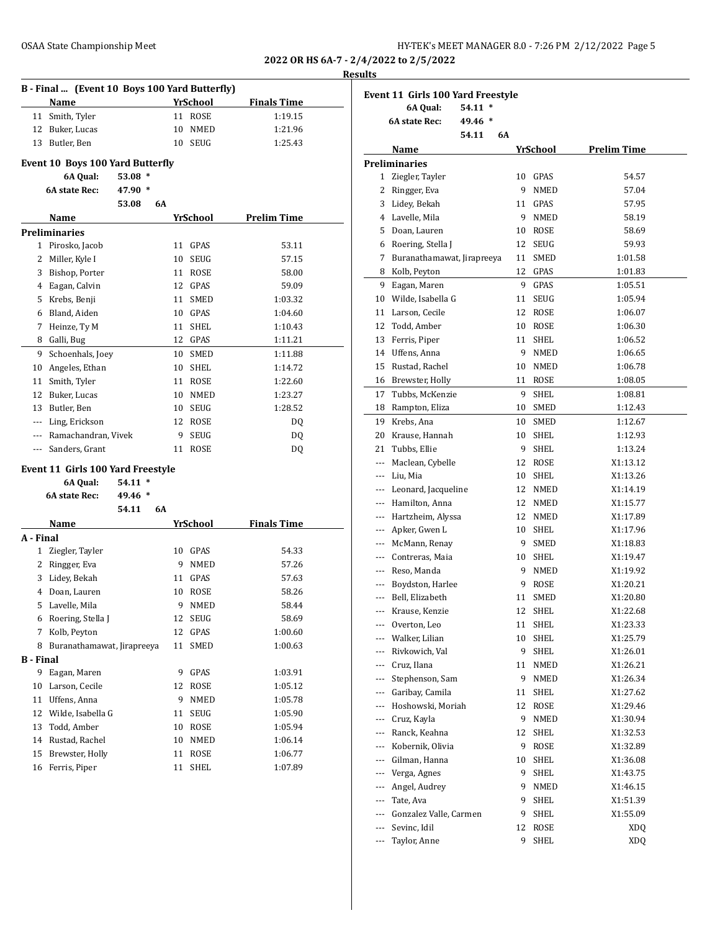| HY-TEK's MEET MANAGER 8.0 - 7:26 PM 2/12/2022 Page 5 |  |  |
|------------------------------------------------------|--|--|
|------------------------------------------------------|--|--|

### **Results**

|                       | B - Final  (Event 10 Boys 100 Yard Butterfly) |          |    |    |                    |                    |  |
|-----------------------|-----------------------------------------------|----------|----|----|--------------------|--------------------|--|
|                       | Name                                          |          |    |    | <b>YrSchool</b>    | <b>Finals Time</b> |  |
| 11                    | Smith, Tyler                                  |          |    |    | 11 ROSE            | 1:19.15            |  |
|                       | 12 Buker, Lucas                               |          |    |    | 10 NMED            | 1:21.96            |  |
| 13                    | Butler, Ben                                   |          |    | 10 | <b>SEUG</b>        | 1:25.43            |  |
|                       | Event 10 Boys 100 Yard Butterfly              |          |    |    |                    |                    |  |
|                       | 6A Qual:                                      | $53.08*$ |    |    |                    |                    |  |
|                       | 6A state Rec:                                 | 47.90 *  |    |    |                    |                    |  |
|                       |                                               | 53.08    | 6A |    |                    |                    |  |
|                       | Name                                          |          |    |    | YrSchool           | <b>Prelim Time</b> |  |
|                       | <b>Preliminaries</b>                          |          |    |    |                    |                    |  |
|                       | 1 Pirosko, Jacob                              |          |    |    | 11 GPAS            | 53.11              |  |
|                       | 2 Miller, Kyle I                              |          |    |    | 10 SEUG            | 57.15              |  |
| 3                     | Bishop, Porter                                |          |    |    | 11 ROSE            | 58.00              |  |
|                       | 4 Eagan, Calvin                               |          |    |    | 12 GPAS            | 59.09              |  |
|                       | 5 Krebs, Benji                                |          |    |    | 11 SMED            | 1:03.32            |  |
|                       | 6 Bland, Aiden                                |          |    |    | 10 GPAS            | 1:04.60            |  |
| 7                     | Heinze, Ty M                                  |          |    |    | 11 SHEL            | 1:10.43            |  |
| 8                     | Galli, Bug                                    |          |    |    | 12 GPAS            | 1:11.21            |  |
| 9                     | Schoenhals, Joey                              |          |    |    | 10 SMED            | 1:11.88            |  |
| 10                    | Angeles, Ethan                                |          |    |    | 10 SHEL            | 1:14.72            |  |
|                       | 11 Smith, Tyler                               |          |    |    | 11 ROSE            | 1:22.60            |  |
|                       | 12 Buker, Lucas                               |          |    |    | 10 NMED            | 1:23.27            |  |
|                       | 13 Butler, Ben                                |          |    |    | 10 SEUG            | 1:28.52            |  |
|                       | --- Ling, Erickson                            |          |    |    | 12 ROSE            | DO.                |  |
|                       | --- Ramachandran, Vivek                       |          |    | 9  | SEUG               | DQ                 |  |
| ---                   | Sanders, Grant                                |          |    | 11 | ROSE               | DQ                 |  |
|                       |                                               |          |    |    |                    |                    |  |
|                       | <b>Event 11 Girls 100 Yard Freestyle</b>      |          |    |    |                    |                    |  |
|                       | 6A Qual:                                      | $54.11*$ |    |    |                    |                    |  |
|                       | 6A state Rec:                                 | $49.46*$ |    |    |                    |                    |  |
|                       |                                               | 54.11    | 6A |    |                    |                    |  |
|                       | Name                                          |          |    |    | YrSchool           | Finals Time        |  |
| A - Final             |                                               |          |    |    |                    |                    |  |
| 1<br>$\overline{2}$   | Ziegler, Tayler                               |          |    | 9  | 10 GPAS            | 54.33              |  |
|                       | Ringger, Eva                                  |          |    |    | NMED               | 57.26              |  |
| 3                     | Lidey, Bekah                                  |          |    |    | 11 GPAS<br>10 ROSE | 57.63<br>58.26     |  |
|                       | 4 Doan, Lauren                                |          |    |    |                    |                    |  |
| 5                     | Lavelle, Mila                                 |          |    | 9  | NMED               | 58.44              |  |
| 6                     | Roering, Stella J                             |          |    | 12 | SEUG               | 58.69              |  |
| 7                     | Kolb, Peyton                                  |          |    | 12 | GPAS               | 1:00.60            |  |
| 8                     | Buranathamawat, Jirapreeya                    |          |    | 11 | <b>SMED</b>        | 1:00.63            |  |
| <b>B</b> - Final<br>9 | Eagan, Maren                                  |          |    | 9  | GPAS               |                    |  |
|                       | Larson, Cecile                                |          |    | 12 |                    | 1:03.91<br>1:05.12 |  |
| 10                    |                                               |          |    | 9  | ROSE               |                    |  |
| 11                    | Uffens, Anna                                  |          |    |    | NMED               | 1:05.78            |  |
| 12                    | Wilde, Isabella G                             |          |    | 11 | SEUG               | 1:05.90            |  |
| 13                    | Todd, Amber                                   |          |    | 10 | ROSE               | 1:05.94            |  |
| 14                    | Rustad, Rachel                                |          |    | 10 | NMED               | 1:06.14            |  |
| 15                    | Brewster, Holly                               |          |    | 11 | ROSE               | 1:06.77            |  |
| 16                    | Ferris, Piper                                 |          |    | 11 | SHEL               | 1:07.89            |  |

|                | Event 11 Girls 100 Yard Freestyle |          |    |    |                 |                    |  |
|----------------|-----------------------------------|----------|----|----|-----------------|--------------------|--|
|                | 6A Qual:                          | $54.11*$ |    |    |                 |                    |  |
|                | 6A state Rec:                     | 49.46 *  |    |    |                 |                    |  |
|                |                                   | 54.11    | 6A |    |                 |                    |  |
|                | Name                              |          |    |    | <b>YrSchool</b> | <b>Prelim Time</b> |  |
|                | <b>Preliminaries</b>              |          |    |    |                 |                    |  |
| 1              | Ziegler, Tayler                   |          |    |    | 10 GPAS         | 54.57              |  |
| 2              | Ringger, Eva                      |          |    | 9. | NMED            | 57.04              |  |
| 3              | Lidey, Bekah                      |          |    |    | 11 GPAS         | 57.95              |  |
|                | 4 Lavelle, Mila                   |          |    |    | 9 NMED          | 58.19              |  |
| 5              | Doan, Lauren                      |          |    |    | 10 ROSE         | 58.69              |  |
| 6              | Roering, Stella J                 |          |    | 12 | SEUG            | 59.93              |  |
| 7              | Buranathamawat, Jirapreeya        |          |    | 11 | SMED            | 1:01.58            |  |
| 8              | Kolb, Peyton                      |          |    |    | 12 GPAS         | 1:01.83            |  |
| 9              | Eagan, Maren                      |          |    | 9  | GPAS            | 1:05.51            |  |
| 10             | Wilde, Isabella G                 |          |    | 11 | <b>SEUG</b>     | 1:05.94            |  |
| 11             | Larson, Cecile                    |          |    | 12 | ROSE            | 1:06.07            |  |
| 12             | Todd, Amber                       |          |    |    | 10 ROSE         | 1:06.30            |  |
| 13             | Ferris, Piper                     |          |    | 11 | SHEL            | 1:06.52            |  |
|                | 14 Uffens, Anna                   |          |    |    | 9 NMED          | 1:06.65            |  |
| 15             | Rustad, Rachel                    |          |    |    | 10 NMED         | 1:06.78            |  |
| 16             | Brewster, Holly                   |          |    | 11 | <b>ROSE</b>     | 1:08.05            |  |
|                | 17 Tubbs, McKenzie                |          |    | 9  | <b>SHEL</b>     | 1:08.81            |  |
| 18             | Rampton, Eliza                    |          |    |    | 10 SMED         | 1:12.43            |  |
| 19             | Krebs, Ana                        |          |    |    | 10 SMED         | 1:12.67            |  |
| 20             | Krause, Hannah                    |          |    |    | 10 SHEL         | 1:12.93            |  |
| 21             | Tubbs, Ellie                      |          |    |    | 9 SHEL          | 1:13.24            |  |
|                | --- Maclean, Cybelle              |          |    |    | 12 ROSE         | X1:13.12           |  |
|                | --- Liu, Mia                      |          |    |    | 10 SHEL         | X1:13.26           |  |
|                | --- Leonard, Jacqueline           |          |    |    | 12 NMED         | X1:14.19           |  |
|                | --- Hamilton, Anna                |          |    |    | 12 NMED         | X1:15.77           |  |
| ---            | Hartzheim, Alyssa                 |          |    |    | 12 NMED         | X1:17.89           |  |
| ---            | Apker, Gwen L                     |          |    | 10 | SHEL            | X1:17.96           |  |
| ---            | McMann, Renay                     |          |    | 9. | SMED            | X1:18.83           |  |
|                | --- Contreras, Maia               |          |    | 10 | SHEL            | X1:19.47           |  |
|                | --- Reso, Manda                   |          |    | 9  | NMED            | X1:19.92           |  |
|                | --- Boydston, Harlee              |          |    | 9  | ROSE            | X1:20.21           |  |
| $---$          | Bell, Elizabeth                   |          |    | 11 | SMED            | X1:20.80           |  |
| ---            | Krause, Kenzie                    |          |    | 12 | <b>SHEL</b>     | X1:22.68           |  |
| ---            | Overton, Leo                      |          |    | 11 | SHEL            | X1:23.33           |  |
| $\overline{a}$ | Walker, Lilian                    |          |    | 10 | SHEL            | X1:25.79           |  |
| ---            | Rivkowich, Val                    |          |    | 9  | SHEL            | X1:26.01           |  |
| ---            | Cruz, Ilana                       |          |    | 11 | NMED            | X1:26.21           |  |
| ---            | Stephenson, Sam                   |          |    | 9  | NMED            | X1:26.34           |  |
| ---            | Garibay, Camila                   |          |    | 11 | SHEL            | X1:27.62           |  |
| ---            | Hoshowski, Moriah                 |          |    | 12 | ROSE            | X1:29.46           |  |
| ---            | Cruz, Kayla                       |          |    | 9  | NMED            | X1:30.94           |  |
| ---            | Ranck, Keahna                     |          |    | 12 | SHEL            | X1:32.53           |  |
| ---            | Kobernik, Olivia                  |          |    | 9  | ROSE            | X1:32.89           |  |
| ---            | Gilman, Hanna                     |          |    | 10 | SHEL            | X1:36.08           |  |
| $---$          | Verga, Agnes                      |          |    | 9. | SHEL            | X1:43.75           |  |
| ---            | Angel, Audrey                     |          |    | 9  | NMED            | X1:46.15           |  |
| $---$          | Tate, Ava                         |          |    | 9  | SHEL            | X1:51.39           |  |
| $---$          | Gonzalez Valle, Carmen            |          |    | 9  | SHEL            | X1:55.09           |  |
| ---            | Sevinc, Idil                      |          |    | 12 | ROSE            | XDQ                |  |
| ---            | Taylor, Anne                      |          |    | 9  | SHEL            | XDQ                |  |
|                |                                   |          |    |    |                 |                    |  |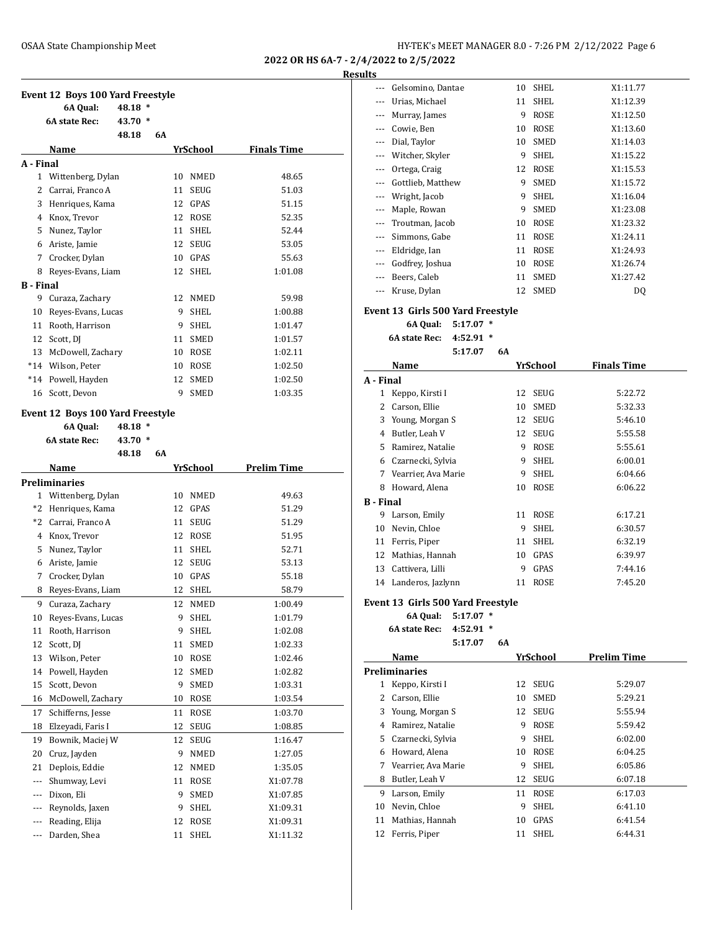**2022 OR HS 6A-7 - 2/4/2022 to 2/5/2022 Results**

|           | Event 12 Boys 100 Yard Freestyle          |         |    |    |                     |                    |  |
|-----------|-------------------------------------------|---------|----|----|---------------------|--------------------|--|
|           | 6A Qual:                                  | 48.18 * |    |    |                     |                    |  |
|           | 6A state Rec:                             | 43.70 * |    |    |                     |                    |  |
|           |                                           | 48.18   | 6A |    |                     |                    |  |
|           | Name                                      |         |    |    | YrSchool            | <b>Finals Time</b> |  |
| A - Final |                                           |         |    |    |                     |                    |  |
|           | 1 Wittenberg, Dylan                       |         |    |    | 10 NMED             | 48.65              |  |
|           | 2 Carrai, Franco A                        |         |    |    | 11 SEUG             | 51.03              |  |
|           | 3 Henriques, Kama                         |         |    |    | 12 GPAS             | 51.15              |  |
|           | 4 Knox, Trevor                            |         |    |    | 12 ROSE             | 52.35              |  |
|           | 5 Nunez, Taylor                           |         |    |    | 11 SHEL             | 52.44              |  |
|           | 6 Ariste, Jamie                           |         |    |    | 12 SEUG             | 53.05              |  |
|           | 7 Crocker, Dylan                          |         |    |    | 10 GPAS             | 55.63              |  |
|           | 8 Reyes-Evans, Liam                       |         |    | 12 | SHEL                | 1:01.08            |  |
| B - Final |                                           |         |    |    |                     |                    |  |
|           | 9 Curaza, Zachary                         |         |    |    | 12 NMED             | 59.98              |  |
|           | 10 Reyes-Evans, Lucas                     |         |    |    | 9 SHEL              | 1:00.88            |  |
|           | 11 Rooth, Harrison                        |         |    |    | 9 SHEL              | 1:01.47            |  |
|           | 12 Scott, DJ                              |         |    |    | 11 SMED             | 1:01.57            |  |
|           | 13 McDowell, Zachary                      |         |    |    | 10 ROSE             | 1:02.11            |  |
|           | *14 Wilson, Peter                         |         |    |    | 10 ROSE             | 1:02.50            |  |
|           | *14 Powell, Hayden                        |         |    |    | 12 SMED             | 1:02.50            |  |
|           | 16 Scott, Devon                           |         |    | 9  | SMED                | 1:03.35            |  |
|           | Event 12 Boys 100 Yard Freestyle          |         |    |    |                     |                    |  |
|           | 6A Qual:                                  | 48.18 * |    |    |                     |                    |  |
|           | 6A state Rec:                             | 43.70 * |    |    |                     |                    |  |
|           |                                           | 48.18   | 6A |    |                     |                    |  |
|           | Name                                      |         |    |    | YrSchool            | <b>Prelim Time</b> |  |
|           | <b>Preliminaries</b>                      |         |    |    |                     |                    |  |
|           | 1 Wittenberg, Dylan                       |         |    |    | 10 NMED             | 49.63              |  |
|           |                                           |         |    |    |                     |                    |  |
|           |                                           |         |    |    | 12 GPAS             | 51.29              |  |
|           | *2 Henriques, Kama<br>*2 Carrai, Franco A |         |    |    | 11 SEUG             | 51.29              |  |
|           |                                           |         |    |    |                     |                    |  |
|           | 4 Knox, Trevor                            |         |    |    | 12 ROSE<br>11 SHEL  | 51.95<br>52.71     |  |
|           | 5 Nunez, Taylor                           |         |    |    |                     |                    |  |
| 6         | Ariste, Jamie                             |         |    |    | 12 SEUG<br>10 GPAS  | 53.13<br>55.18     |  |
| 7         | Crocker, Dylan                            |         |    |    | 12 SHEL             | 58.79              |  |
| 9         | 8 Reyes-Evans, Liam<br>Curaza, Zachary    |         |    |    | 12 NMED             | 1:00.49            |  |
| 10        | Reyes-Evans, Lucas                        |         |    | 9  |                     | 1:01.79            |  |
|           |                                           |         |    | 9  | SHEL                |                    |  |
| 11<br>12  | Rooth, Harrison<br>Scott, DJ              |         |    | 11 | SHEL<br>SMED        | 1:02.08<br>1:02.33 |  |
| 13        | Wilson, Peter                             |         |    | 10 |                     | 1:02.46            |  |
| 14        | Powell, Hayden                            |         |    | 12 | $\tt{ROSE}$<br>SMED | 1:02.82            |  |
| 15        | Scott, Devon                              |         |    | 9  |                     | 1:03.31            |  |
| 16        | McDowell, Zachary                         |         |    | 10 | SMED<br>ROSE        | 1:03.54            |  |
| 17        | Schifferns, Jesse                         |         |    | 11 | ROSE                | 1:03.70            |  |
| 18        | Elzeyadi, Faris I                         |         |    | 12 | SEUG                | 1:08.85            |  |
| 19        | Bownik, Maciej W                          |         |    | 12 |                     | 1:16.47            |  |
| 20        |                                           |         |    | 9  | SEUG                |                    |  |
| 21        | Cruz, Jayden<br>Deplois, Eddie            |         |    | 12 | NMED                | 1:27.05<br>1:35.05 |  |
| ---       | Shumway, Levi                             |         |    | 11 | NMED<br>ROSE        | X1:07.78           |  |
|           | Dixon, Eli                                |         |    | 9  |                     | X1:07.85           |  |
| ---       |                                           |         |    | 9  | SMED                | X1:09.31           |  |
| ---       | Reynolds, Jaxen<br>Reading, Elija         |         |    | 12 | SHEL<br>ROSE        | X1:09.31           |  |

| w        |                   |    |             |          |
|----------|-------------------|----|-------------|----------|
| $---$    | Gelsomino, Dantae | 10 | <b>SHEL</b> | X1:11.77 |
|          | Urias, Michael    | 11 | SHEL        | X1:12.39 |
| ---      | Murray, James     | 9  | <b>ROSE</b> | X1:12.50 |
| $---$    | Cowie, Ben        | 10 | <b>ROSE</b> | X1:13.60 |
| $---$    | Dial, Taylor      | 10 | SMED        | X1:14.03 |
|          | Witcher, Skyler   | 9  | <b>SHEL</b> | X1:15.22 |
| ---      | Ortega, Craig     | 12 | <b>ROSE</b> | X1:15.53 |
|          | Gottlieb, Matthew | 9  | SMED        | X1:15.72 |
|          | Wright, Jacob     | 9  | SHEL        | X1:16.04 |
| ---      | Maple, Rowan      | 9  | <b>SMED</b> | X1:23.08 |
| ---      | Troutman, Jacob   | 10 | <b>ROSE</b> | X1:23.32 |
|          | Simmons, Gabe     | 11 | ROSE        | X1:24.11 |
| $\cdots$ | Eldridge, Ian     | 11 | <b>ROSE</b> | X1:24.93 |
| $---$    | Godfrey, Joshua   | 10 | ROSE        | X1:26.74 |
|          | Beers, Caleb      | 11 | SMED        | X1:27.42 |
| $---$    | Kruse, Dylan      | 12 | <b>SMED</b> | DO.      |

### **Event 13 Girls 500 Yard Freestyle**

**6A Qual: 5:17.07 \* 6A state Rec: 4:52.91 \***

```
5:17.07 6A
```

|           | Name                |    | YrSchool    | <b>Finals Time</b> |  |
|-----------|---------------------|----|-------------|--------------------|--|
| A - Final |                     |    |             |                    |  |
| 1         | Keppo, Kirsti I     | 12 | <b>SEUG</b> | 5:22.72            |  |
| 2         | Carson, Ellie       | 10 | <b>SMED</b> | 5:32.33            |  |
| 3         | Young, Morgan S     | 12 | <b>SEUG</b> | 5:46.10            |  |
| 4         | Butler, Leah V      | 12 | <b>SEUG</b> | 5:55.58            |  |
| 5         | Ramirez, Natalie    | 9  | ROSE        | 5:55.61            |  |
| 6         | Czarnecki, Sylvia   | 9  | SHEL        | 6:00.01            |  |
| 7         | Vearrier, Ava Marie | 9  | <b>SHEL</b> | 6:04.66            |  |
| 8         | Howard, Alena       | 10 | <b>ROSE</b> | 6:06.22            |  |
| B - Final |                     |    |             |                    |  |
| 9         | Larson, Emily       | 11 | ROSE        | 6:17.21            |  |
| 10        | Nevin, Chloe        | 9  | SHEL        | 6:30.57            |  |
| 11        | Ferris, Piper       | 11 | <b>SHEL</b> | 6:32.19            |  |
| 12        | Mathias, Hannah     | 10 | GPAS        | 6:39.97            |  |
| 13        | Cattivera, Lilli    | 9  | GPAS        | 7:44.16            |  |
| 14        | Landeros, Jazlynn   | 11 | ROSE        | 7:45.20            |  |

### **Event 13 Girls 500 Yard Freestyle**

**6A Qual: 5:17.07 \***

**6A state Rec: 4:52.91 \***

**5:17.07 6A**

|    | Name                 |    | <b>YrSchool</b> | Prelim Time |
|----|----------------------|----|-----------------|-------------|
|    | <b>Preliminaries</b> |    |                 |             |
|    | Keppo, Kirsti I      | 12 | SEUG            | 5:29.07     |
| 2  | Carson, Ellie        | 10 | <b>SMED</b>     | 5:29.21     |
| 3  | Young, Morgan S      | 12 | SEUG            | 5:55.94     |
| 4  | Ramirez, Natalie     | 9  | ROSE            | 5:59.42     |
| 5. | Czarnecki, Sylvia    | 9  | SHEL            | 6:02.00     |
| 6  | Howard, Alena        | 10 | ROSE            | 6:04.25     |
| 7  | Vearrier, Ava Marie  | 9  | <b>SHEL</b>     | 6:05.86     |
| 8  | Butler, Leah V       | 12 | SEUG            | 6:07.18     |
| 9  | Larson, Emily        | 11 | <b>ROSE</b>     | 6:17.03     |
| 10 | Nevin, Chloe         | 9  | SHEL            | 6:41.10     |
| 11 | Mathias, Hannah      | 10 | GPAS            | 6:41.54     |
| 12 | Ferris, Piper        | 11 | SHEL            | 6:44.31     |
|    |                      |    |                 |             |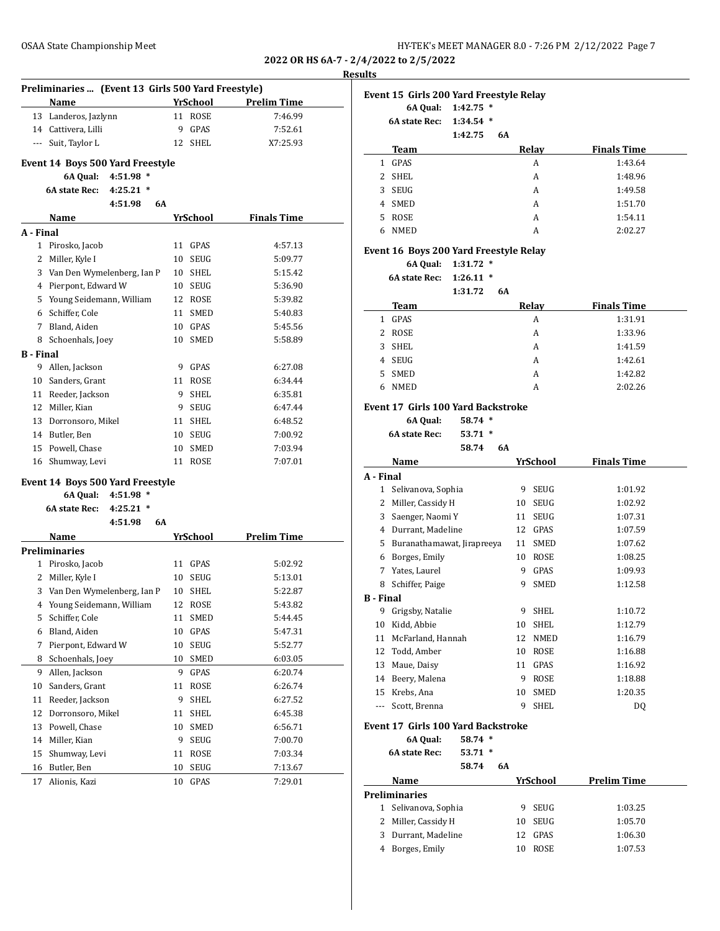# **Preliminaries ... (Event 13 Girls 500 Yard Freestyle) Name Yr School Prelim Time** 13 Landeros, Jazlynn 11 ROSE 7:46.99 14 Cattivera, Lilli 9 GPAS 7:52.61 --- Suit, Taylor L 12 SHEL X7:25.93 **Event 14 Boys 500 Yard Freestyle 6A Qual: 4:51.98 \* 6A state Rec: 4:25.21 \* 4:51.98 6A Name** *YrSchool* **<b>Finals Time A - Final** 1 Pirosko, Jacob 11 GPAS 4:57.13 2 Miller, Kyle I 10 SEUG 5:09.77 3 Van Den Wymelenberg, Ian P 10 SHEL 5:15.42 4 Pierpont, Edward W 10 SEUG 5:36.90 5 Young Seidemann, William 12 ROSE 5:39.82 6 Schiffer, Cole 11 SMED 5:40.83 7 Bland, Aiden 10 GPAS 5:45.56 8 Schoenhals, Joey 10 SMED 5:58.89 **B - Final** 9 Allen, Jackson 9 GPAS 6:27.08 10 Sanders, Grant 11 ROSE 6:34.44 11 Reeder, Jackson 9 SHEL 6:35.81 12 Miller, Kian 9 SEUG 6:47.44 13 Dorronsoro, Mikel 11 SHEL 6:48.52 14 Butler, Ben 10 SEUG 7:00.92 15 Powell, Chase 10 SMED 7:03.94 16 Shumway, Levi 11 ROSE 7:07.01 **Event 14 Boys 500 Yard Freestyle**

**6A Qual: 4:51.98 \***

**6A state Rec: 4:25.21 \***

|    | 4:51.98<br>6A              |    |             |             |
|----|----------------------------|----|-------------|-------------|
|    | Name                       |    | YrSchool    | Prelim Time |
|    | Preliminaries              |    |             |             |
| 1  | Pirosko, Jacob             | 11 | GPAS        | 5:02.92     |
| 2  | Miller, Kyle I             | 10 | <b>SEUG</b> | 5:13.01     |
| 3  | Van Den Wymelenberg, Ian P | 10 | <b>SHEL</b> | 5:22.87     |
| 4  | Young Seidemann, William   | 12 | <b>ROSE</b> | 5:43.82     |
| 5  | Schiffer, Cole             | 11 | <b>SMED</b> | 5:44.45     |
| 6  | Bland, Aiden               | 10 | GPAS        | 5:47.31     |
| 7  | Pierpont, Edward W         | 10 | <b>SEUG</b> | 5:52.77     |
| 8  | Schoenhals, Joey           | 10 | SMED        | 6:03.05     |
| 9  | Allen, Jackson             | 9  | GPAS        | 6:20.74     |
| 10 | Sanders, Grant             | 11 | ROSE        | 6:26.74     |
| 11 | Reeder, Jackson            | 9  | <b>SHEL</b> | 6:27.52     |
| 12 | Dorronsoro, Mikel          | 11 | <b>SHEL</b> | 6:45.38     |
| 13 | Powell, Chase              | 10 | SMED        | 6:56.71     |
| 14 | Miller, Kian               | 9  | <b>SEUG</b> | 7:00.70     |
| 15 | Shumway, Levi              | 11 | ROSE        | 7:03.34     |
| 16 | Butler, Ben                | 10 | <b>SEUG</b> | 7:13.67     |
| 17 | Alionis, Kazi              | 10 | GPAS        | 7:29.01     |

|           | Event 15 Girls 200 Yard Freestyle Relay<br>6A Qual: | $1:42.75$ *        |    |                    |                               |
|-----------|-----------------------------------------------------|--------------------|----|--------------------|-------------------------------|
|           | 6A state Rec:                                       | $1:34.54$ *        |    |                    |                               |
|           |                                                     | 1:42.75            | 6A |                    |                               |
|           | Team<br>1 GPAS                                      |                    |    | Relay<br>A         | <b>Finals Time</b><br>1:43.64 |
|           | 2 SHEL                                              |                    |    | A                  | 1:48.96                       |
|           | 3 SEUG                                              |                    |    | A                  | 1:49.58                       |
|           | 4 SMED                                              |                    |    | A                  | 1:51.70                       |
| 5         | ROSE                                                |                    |    | A                  | 1:54.11                       |
|           | 6 NMED                                              |                    |    | A                  | 2:02.27                       |
|           | Event 16 Boys 200 Yard Freestyle Relay              |                    |    |                    |                               |
|           |                                                     | 6A Qual: 1:31.72 * |    |                    |                               |
|           | <b>6A state Rec:</b>                                | $1:26.11*$         |    |                    |                               |
|           |                                                     | 1:31.72            | 6A |                    |                               |
|           | Team                                                |                    |    | Relay              | <b>Finals Time</b>            |
|           | 1 GPAS                                              |                    |    | A                  | 1:31.91                       |
|           | 2 ROSE                                              |                    |    | A                  | 1:33.96                       |
|           | 3 SHEL                                              |                    |    | A                  | 1:41.59                       |
|           | 4 SEUG                                              |                    |    | A                  | 1:42.61                       |
| 5         | SMED                                                |                    |    | A                  | 1:42.82                       |
|           | 6 NMED                                              |                    |    | A                  | 2:02.26                       |
|           | Name                                                | 58.74              | 6A | YrSchool           | <b>Finals Time</b>            |
| A - Final |                                                     |                    |    |                    |                               |
|           | 1 Selivanova, Sophia                                |                    |    | 9 SEUG             | 1:01.92                       |
|           | 2 Miller, Cassidy H                                 |                    | 10 | <b>SEUG</b>        | 1:02.92                       |
|           | 3 Saenger, Naomi Y                                  |                    |    | 11 SEUG            | 1:07.31                       |
|           | 4 Durrant, Madeline                                 |                    |    | 12 GPAS            | 1:07.59                       |
|           | 5 Buranathamawat, Jirapreeya                        |                    |    | 11 SMED            | 1:07.62                       |
|           | 6 Borges, Emily                                     |                    |    | 10 ROSE            | 1:08.25                       |
|           | 7 Yates, Laurel                                     |                    | 9  | GPAS               | 1:09.93                       |
|           | 8 Schiffer, Paige                                   |                    | 9  | <b>SMED</b>        | 1:12.58                       |
| B - Final |                                                     |                    |    |                    |                               |
|           | 9 Grigsby, Natalie                                  |                    |    | 9 SHEL             | 1:10.72                       |
|           | 10 Kidd, Abbie                                      |                    | 10 | SHEL               | 1:12.79                       |
|           | 11 McFarland, Hannah                                |                    |    | 12 NMED            | 1:16.79                       |
|           | 12 Todd, Amber                                      |                    |    | 10 ROSE            | 1:16.88                       |
|           | 13 Maue, Daisy                                      |                    |    | 11 GPAS            | 1:16.92                       |
|           | 14 Beery, Malena                                    |                    |    | 9 ROSE             | 1:18.88                       |
|           | 15 Krebs, Ana                                       |                    | 10 | <b>SMED</b>        | 1:20.35                       |
|           | --- Scott, Brenna                                   |                    | 9  | SHEL               | DQ                            |
|           | Event 17 Girls 100 Yard Backstroke<br>6A Qual:      | 58.74 *            |    |                    |                               |
|           | 6A state Rec:                                       | $53.71*$           |    |                    |                               |
|           |                                                     | 58.74              | 6A |                    |                               |
|           | Name                                                |                    |    | <b>YrSchool</b>    | <b>Prelim Time</b>            |
|           | <b>Preliminaries</b>                                |                    |    |                    |                               |
|           | 1 Selivanova, Sophia                                |                    |    | 9 SEUG             | 1:03.25                       |
|           | 2 Miller, Cassidy H                                 |                    |    | 10 SEUG            | 1:05.70                       |
|           |                                                     |                    |    |                    |                               |
|           | 3 Durrant, Madeline<br>4 Borges, Emily              |                    |    | 12 GPAS<br>10 ROSE | 1:06.30<br>1:07.53            |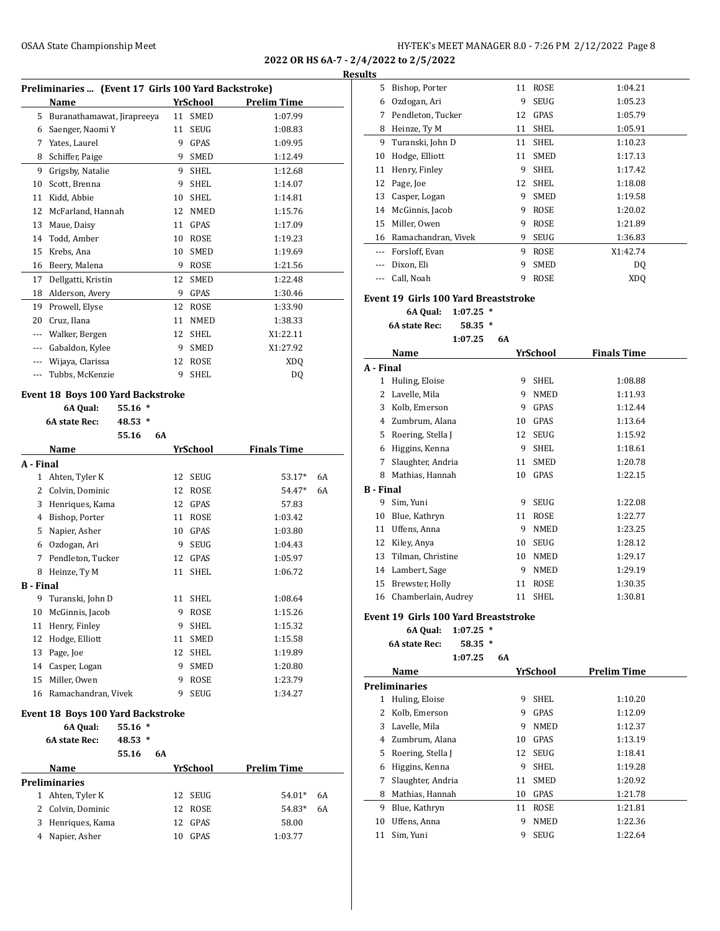**2022 OR HS 6A-7 - 2/4/2022 to 2/5/2022 Results**

| Preliminaries  (Event 17 Girls 100 Yard Backstroke) |                            |    |             |                    |  |  |  |  |
|-----------------------------------------------------|----------------------------|----|-------------|--------------------|--|--|--|--|
|                                                     | Name                       |    | YrSchool    | <b>Prelim Time</b> |  |  |  |  |
| 5                                                   | Buranathamawat, Jirapreeya | 11 | SMED        | 1:07.99            |  |  |  |  |
| 6                                                   | Saenger, Naomi Y           | 11 | <b>SEUG</b> | 1:08.83            |  |  |  |  |
| 7                                                   | Yates, Laurel              | 9  | GPAS        | 1:09.95            |  |  |  |  |
| 8                                                   | Schiffer, Paige            | 9  | <b>SMED</b> | 1:12.49            |  |  |  |  |
| 9                                                   | Grigsby, Natalie           | 9  | SHEL        | 1:12.68            |  |  |  |  |
| 10                                                  | Scott, Brenna              | 9  | <b>SHEL</b> | 1:14.07            |  |  |  |  |
| 11                                                  | Kidd, Abbie                | 10 | <b>SHEL</b> | 1:14.81            |  |  |  |  |
| 12                                                  | McFarland, Hannah          | 12 | <b>NMED</b> | 1:15.76            |  |  |  |  |
| 13                                                  | Maue, Daisy                | 11 | GPAS        | 1:17.09            |  |  |  |  |
| 14                                                  | Todd, Amber                | 10 | <b>ROSE</b> | 1:19.23            |  |  |  |  |
| 15                                                  | Krebs, Ana                 | 10 | <b>SMED</b> | 1:19.69            |  |  |  |  |
| 16                                                  | Beery, Malena              | 9  | <b>ROSE</b> | 1:21.56            |  |  |  |  |
| 17                                                  | Dellgatti, Kristin         | 12 | <b>SMED</b> | 1:22.48            |  |  |  |  |
| 18                                                  | Alderson, Avery            | 9  | GPAS        | 1:30.46            |  |  |  |  |
| 19                                                  | Prowell, Elyse             | 12 | <b>ROSE</b> | 1:33.90            |  |  |  |  |
| 20                                                  | Cruz, Ilana                | 11 | <b>NMED</b> | 1:38.33            |  |  |  |  |
| ---                                                 | Walker, Bergen             | 12 | <b>SHEL</b> | X1:22.11           |  |  |  |  |
| $---$                                               | Gabaldon, Kylee            | 9  | <b>SMED</b> | X1:27.92           |  |  |  |  |
|                                                     | Wijaya, Clarissa           | 12 | <b>ROSE</b> | XD <sub>0</sub>    |  |  |  |  |
|                                                     | Tubbs, McKenzie            | 9  | <b>SHEL</b> | DQ                 |  |  |  |  |

|                  | Gabaldon, Kylee                          |          |    | 9  | <b>SMED</b> | X1:27.92           |    |
|------------------|------------------------------------------|----------|----|----|-------------|--------------------|----|
|                  | --- Wijaya, Clarissa                     |          |    | 12 | <b>ROSE</b> | <b>XDQ</b>         |    |
| $---$            | Tubbs, McKenzie                          |          |    | 9  | <b>SHEL</b> | DQ                 |    |
|                  | <b>Event 18 Boys 100 Yard Backstroke</b> |          |    |    |             |                    |    |
|                  | 6A Qual:                                 | 55.16 *  |    |    |             |                    |    |
|                  | 6A state Rec:                            | 48.53 *  |    |    |             |                    |    |
|                  |                                          | 55.16    | 6A |    |             |                    |    |
|                  | Name                                     |          |    |    | YrSchool    | <b>Finals Time</b> |    |
| A - Final        |                                          |          |    |    |             |                    |    |
|                  | 1 Ahten, Tyler K                         |          |    | 12 | <b>SEUG</b> | 53.17*             | 6A |
| 2                | Colvin, Dominic                          |          |    | 12 | <b>ROSE</b> | 54.47*             | 6A |
| 3                | Henriques, Kama                          |          |    | 12 | GPAS        | 57.83              |    |
| 4                | Bishop, Porter                           |          |    | 11 | <b>ROSE</b> | 1:03.42            |    |
| 5                | Napier, Asher                            |          |    | 10 | GPAS        | 1:03.80            |    |
|                  | 6 Ozdogan, Ari                           |          |    | 9  | <b>SEUG</b> | 1:04.43            |    |
|                  | 7 Pendleton, Tucker                      |          |    | 12 | GPAS        | 1:05.97            |    |
| 8                | Heinze, Ty M                             |          |    | 11 | <b>SHEL</b> | 1:06.72            |    |
| <b>B</b> - Final |                                          |          |    |    |             |                    |    |
|                  | 9 Turanski, John D                       |          |    | 11 | SHEL        | 1:08.64            |    |
| 10               | McGinnis, Jacob                          |          |    | 9  | <b>ROSE</b> | 1:15.26            |    |
|                  | 11 Henry, Finley                         |          |    | 9  | <b>SHEL</b> | 1:15.32            |    |
| 12               | Hodge, Elliott                           |          |    | 11 | <b>SMED</b> | 1:15.58            |    |
| 13               | Page, Joe                                |          |    | 12 | <b>SHEL</b> | 1:19.89            |    |
| 14               | Casper, Logan                            |          |    | 9  | <b>SMED</b> | 1:20.80            |    |
| 15               | Miller, Owen                             |          |    | 9  | <b>ROSE</b> | 1:23.79            |    |
|                  | 16 Ramachandran, Vivek                   |          |    | 9  | <b>SEUG</b> | 1:34.27            |    |
|                  | <b>Event 18 Boys 100 Yard Backstroke</b> |          |    |    |             |                    |    |
|                  | 6A Qual:                                 | $55.16*$ |    |    |             |                    |    |
|                  | <b>6A state Rec:</b>                     | $48.53*$ |    |    |             |                    |    |
|                  |                                          | 55.16    | 6A |    |             |                    |    |
|                  | Name                                     |          |    |    | VrCchool    | Drolim Timo        |    |

| Name                 |    | YrSchool | Prelim Time |    |  |
|----------------------|----|----------|-------------|----|--|
| <b>Preliminaries</b> |    |          |             |    |  |
| 1 Ahten, Tyler K     |    | 12 SEUG  | $54.01*$    | 6A |  |
| 2 Colvin, Dominic    |    | 12 ROSE  | 54.83*      | 6A |  |
| 3 Henriques, Kama    |    | 12 GPAS  | 58.00       |    |  |
| 4 Napier, Asher      | 10 | GPAS     | 1:03.77     |    |  |

| 5. | Bishop, Porter      | 11 | ROSE        | 1:04.21        |  |
|----|---------------------|----|-------------|----------------|--|
| 6  | Ozdogan, Ari        | 9  | <b>SEUG</b> | 1:05.23        |  |
| 7  | Pendleton, Tucker   | 12 | GPAS        | 1:05.79        |  |
| 8  | Heinze, Ty M        | 11 | <b>SHEL</b> | 1:05.91        |  |
| 9  | Turanski, John D    | 11 | <b>SHEL</b> | 1:10.23        |  |
| 10 | Hodge, Elliott      | 11 | <b>SMED</b> | 1:17.13        |  |
| 11 | Henry, Finley       | 9  | <b>SHEL</b> | 1:17.42        |  |
| 12 | Page, Joe           | 12 | SHEL        | 1:18.08        |  |
| 13 | Casper, Logan       | 9  | <b>SMED</b> | 1:19.58        |  |
| 14 | McGinnis, Jacob     | 9  | ROSE        | 1:20.02        |  |
| 15 | Miller, Owen        | 9  | ROSE        | 1:21.89        |  |
| 16 | Ramachandran, Vivek | 9  | <b>SEUG</b> | 1:36.83        |  |
|    | Forsloff, Evan      | 9  | ROSE        | X1:42.74       |  |
|    | Dixon, Eli          | 9  | <b>SMED</b> | D <sub>0</sub> |  |
|    | Call, Noah          | 9  | ROSE        | XDO            |  |

### **Event 19 Girls 100 Yard Breaststroke**

**6A Qual: 1:07.25 \***

**6A state Rec: 58.35 \***

**1:07.25 6A**

| Name             |                     |    | YrSchool    | <b>Finals Time</b> |  |  |
|------------------|---------------------|----|-------------|--------------------|--|--|
| A - Final        |                     |    |             |                    |  |  |
| 1                | Huling, Eloise      | 9  | <b>SHEL</b> | 1:08.88            |  |  |
| 2                | Lavelle, Mila       | 9  | <b>NMED</b> | 1:11.93            |  |  |
| 3                | Kolb, Emerson       | 9  | GPAS        | 1:12.44            |  |  |
| 4                | Zumbrum, Alana      | 10 | GPAS        | 1:13.64            |  |  |
| 5                | Roering, Stella J   | 12 | <b>SEUG</b> | 1:15.92            |  |  |
| 6                | Higgins, Kenna      | 9  | SHEL        | 1:18.61            |  |  |
| 7                | Slaughter, Andria   | 11 | <b>SMED</b> | 1:20.78            |  |  |
| 8                | Mathias, Hannah     | 10 | GPAS        | 1:22.15            |  |  |
| <b>B</b> - Final |                     |    |             |                    |  |  |
| 9                | Sim, Yuni           | 9  | <b>SEUG</b> | 1:22.08            |  |  |
| 10               | Blue, Kathryn       | 11 | ROSE        | 1:22.77            |  |  |
| 11               | Uffens, Anna        | 9  | <b>NMED</b> | 1:23.25            |  |  |
| 12               | Kiley, Anya         | 10 | <b>SEUG</b> | 1:28.12            |  |  |
| 13               | Tilman, Christine   | 10 | <b>NMED</b> | 1:29.17            |  |  |
| 14               | Lambert, Sage       | 9  | <b>NMED</b> | 1:29.19            |  |  |
| 15               | Brewster, Holly     | 11 | <b>ROSE</b> | 1:30.35            |  |  |
| 16               | Chamberlain, Audrey | 11 | <b>SHEL</b> | 1:30.81            |  |  |

### **Event 19 Girls 100 Yard Breaststroke**

**6A Qual: 1:07.25 \***

**6A state Rec: 58.35 \***

|    | 1:07.25              | 6A |    |             |                    |
|----|----------------------|----|----|-------------|--------------------|
|    | Name                 |    |    | YrSchool    | <b>Prelim Time</b> |
|    | <b>Preliminaries</b> |    |    |             |                    |
| 1  | Huling, Eloise       |    | 9  | SHEL        | 1:10.20            |
|    | Kolb, Emerson        |    | 9  | GPAS        | 1:12.09            |
| 3  | Lavelle, Mila        |    | 9  | <b>NMED</b> | 1:12.37            |
| 4  | Zumbrum, Alana       |    | 10 | GPAS        | 1:13.19            |
| 5  | Roering, Stella J    |    | 12 | SEUG        | 1:18.41            |
| 6  | Higgins, Kenna       |    | 9  | SHEL        | 1:19.28            |
| 7  | Slaughter, Andria    |    | 11 | <b>SMED</b> | 1:20.92            |
| 8  | Mathias, Hannah      |    | 10 | GPAS        | 1:21.78            |
| 9  | Blue, Kathryn        | 11 |    | ROSE        | 1:21.81            |
| 10 | Uffens, Anna         |    | 9  | <b>NMED</b> | 1:22.36            |
| 11 | Sim, Yuni            |    | 9  | SEUG        | 1:22.64            |